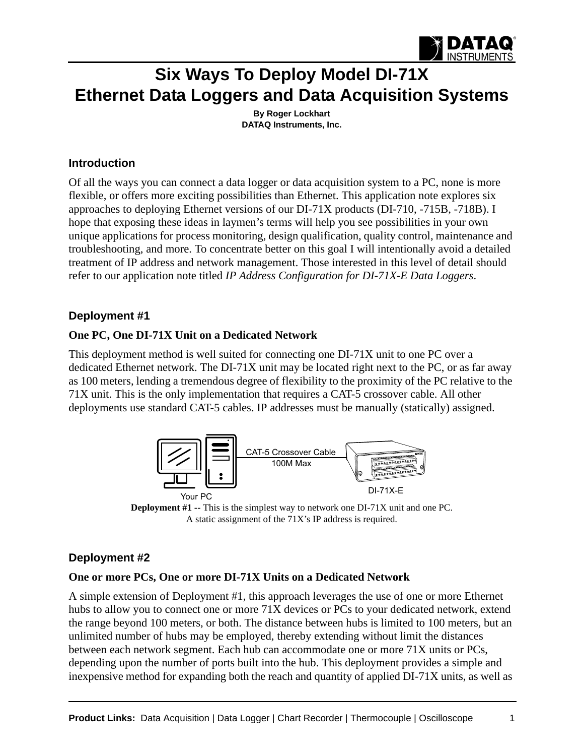

# **Six Ways To Deploy Model DI-71X [Ethernet Data Loggers and](http://www.dataq.com/data-logger/data-logger.html) [Data Acquisition Systems](http://www.dataq.com/index.html)**

**By Roger Lockhart [DATAQ Instruments, Inc.](http://www.dataq.com)**

#### **Introduction**

Of all the ways you can connect a data logger or data acquisition system to a PC, none is more flexible, or offers more exciting possibilities than Ethernet. This application note explores six approaches to deploying Ethernet versions of our DI-71X products (DI-710, -715B, -718B). I hope that exposing these ideas in laymen's terms will help you see possibilities in your own unique applications for process monitoring, design qualification, quality control, maintenance and troubleshooting, and more. To concentrate better on this goal I will intentionally avoid a detailed treatment of IP address and network management. Those interested in this level of detail should refer to our application note titled *[IP Address Configuration for DI-71X-E Data Loggers](http://www.dataq.com/applicat/articles/data_logger_ethernet01.htm)*.

## **Deployment #1**

## **One PC, One DI-71X Unit on a Dedicated Network**

This deployment method is well suited for connecting one DI-71X unit to one PC over a dedicated Ethernet network. The DI-71X unit may be located right next to the PC, or as far away as 100 meters, lending a tremendous degree of flexibility to the proximity of the PC relative to the 71X unit. This is the only implementation that requires a CAT-5 crossover cable. All other deployments use standard CAT-5 cables. IP addresses must be manually (statically) assigned.



**Deployment #1 --** This is the simplest way to network one DI-71X unit and one PC. A static assignment of the 71X's IP address is required.

# **Deployment #2**

#### **One or more PCs, One or more DI-71X Units on a Dedicated Network**

A simple extension of Deployment #1, this approach leverages the use of one or more Ethernet hubs to allow you to connect one or more 71X devices or PCs to your dedicated network, extend the range beyond 100 meters, or both. The distance between hubs is limited to 100 meters, but an unlimited number of hubs may be employed, thereby extending without limit the distances between each network segment. Each hub can accommodate one or more 71X units or PCs, depending upon the number of ports built into the hub. This deployment provides a simple and inexpensive method for expanding both the reach and quantity of applied DI-71X units, as well as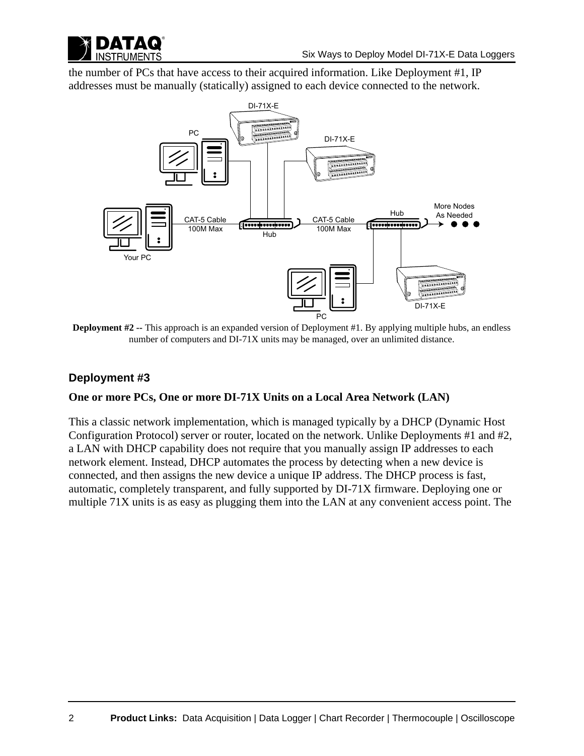

the number of PCs that have access to their acquired information. Like Deployment #1, IP addresses must be manually (statically) assigned to each device connected to the network.



**Deployment #2 --** This approach is an expanded version of Deployment #1. By applying multiple hubs, an endless number of computers and DI-71X units may be managed, over an unlimited distance.

## **Deployment #3**

#### **One or more PCs, One or more DI-71X Units on a Local Area Network (LAN)**

This a classic network implementation, which is managed typically by a DHCP (Dynamic Host Configuration Protocol) server or router, located on the network. Unlike Deployments #1 and #2, a LAN with DHCP capability does not require that you manually assign IP addresses to each network element. Instead, DHCP automates the process by detecting when a new device is connected, and then assigns the new device a unique IP address. The DHCP process is fast, automatic, completely transparent, and fully supported by DI-71X firmware. Deploying one or multiple 71X units is as easy as plugging them into the LAN at any convenient access point. The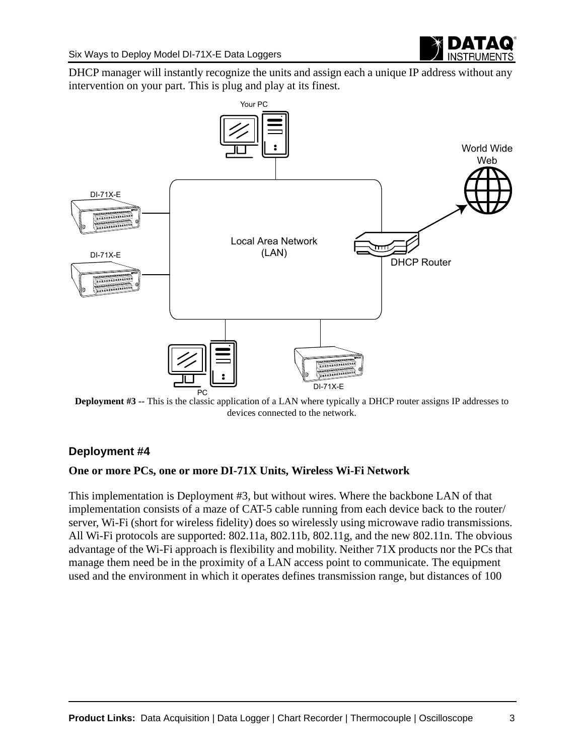

DHCP manager will instantly recognize the units and assign each a unique IP address without any intervention on your part. This is plug and play at its finest.



**Deployment #3 --** This is the classic application of a LAN where typically a DHCP router assigns IP addresses to devices connected to the network.

# **Deployment #4**

#### **One or more PCs, one or more DI-71X Units, Wireless Wi-Fi Network**

This implementation is Deployment #3, but without wires. Where the backbone LAN of that implementation consists of a maze of CAT-5 cable running from each device back to the router/ server, Wi-Fi (short for wireless fidelity) does so wirelessly using microwave radio transmissions. All Wi-Fi protocols are supported: 802.11a, 802.11b, 802.11g, and the new 802.11n. The obvious advantage of the Wi-Fi approach is flexibility and mobility. Neither 71X products nor the PCs that manage them need be in the proximity of a LAN access point to communicate. The equipment used and the environment in which it operates defines transmission range, but distances of 100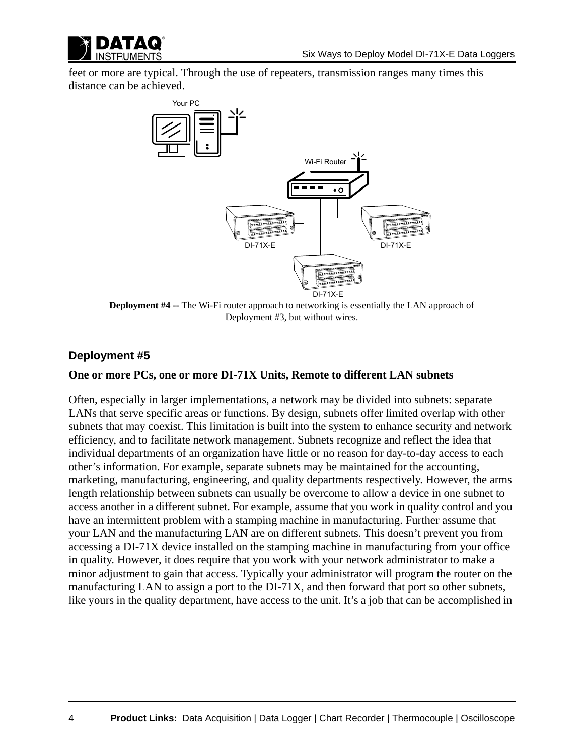

feet or more are typical. Through the use of repeaters, transmission ranges many times this distance can be achieved.



**Deployment #4 --** The Wi-Fi router approach to networking is essentially the LAN approach of Deployment #3, but without wires.

#### **Deployment #5**

#### **One or more PCs, one or more DI-71X Units, Remote to different LAN subnets**

Often, especially in larger implementations, a network may be divided into subnets: separate LANs that serve specific areas or functions. By design, subnets offer limited overlap with other subnets that may coexist. This limitation is built into the system to enhance security and network efficiency, and to facilitate network management. Subnets recognize and reflect the idea that individual departments of an organization have little or no reason for day-to-day access to each other's information. For example, separate subnets may be maintained for the accounting, marketing, manufacturing, engineering, and quality departments respectively. However, the arms length relationship between subnets can usually be overcome to allow a device in one subnet to access another in a different subnet. For example, assume that you work in quality control and you have an intermittent problem with a stamping machine in manufacturing. Further assume that your LAN and the manufacturing LAN are on different subnets. This doesn't prevent you from accessing a DI-71X device installed on the stamping machine in manufacturing from your office in quality. However, it does require that you work with your network administrator to make a minor adjustment to gain that access. Typically your administrator will program the router on the manufacturing LAN to assign a port to the DI-71X, and then forward that port so other subnets, like yours in the quality department, have access to the unit. It's a job that can be accomplished in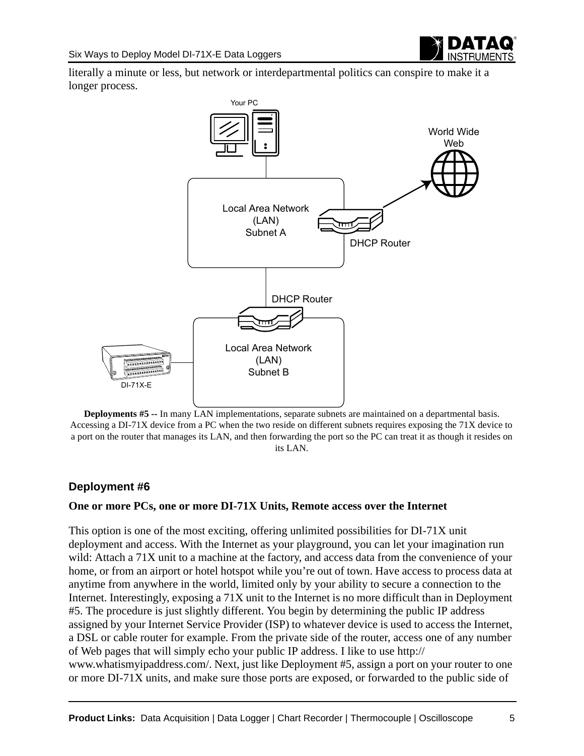literally a minute or less, but network or interdepartmental politics can conspire to make it a longer process.



**Deployments #5 --** In many LAN implementations, separate subnets are maintained on a departmental basis. Accessing a DI-71X device from a PC when the two reside on different subnets requires exposing the 71X device to a port on the router that manages its LAN, and then forwarding the port so the PC can treat it as though it resides on its LAN.

# **Deployment #6**

#### **One or more PCs, one or more DI-71X Units, Remote access over the Internet**

This option is one of the most exciting, offering unlimited possibilities for DI-71X unit deployment and access. With the Internet as your playground, you can let your imagination run [wild: Attach a 71X unit to a machine at the factory, and access data from the convenience of your](http://www.whatismyipaddress.com/)  home, or from an airport or hotel hotspot while you're out of town. Have access to process data at anytime from anywhere in the world, limited only by your ability to secure a connection to the Internet. Interestingly, exposing a 71X unit to the Internet is no more difficult than in Deployment #5. The procedure is just slightly different. You begin by determining the public IP address assigned by your Internet Service Provider (ISP) to whatever device is used to access the Internet, a DSL or cable router for example. From the private side of the router, access one of any number of Web pages that will simply echo your public IP address. I like to use http:// www.whatismyipaddress.com/. Next, just like Deployment #5, assign a port on your router to one [or more DI-71X units, and make sure those ports are exposed, or forwarded to the public side of](http://www.whatismyipaddress.com/)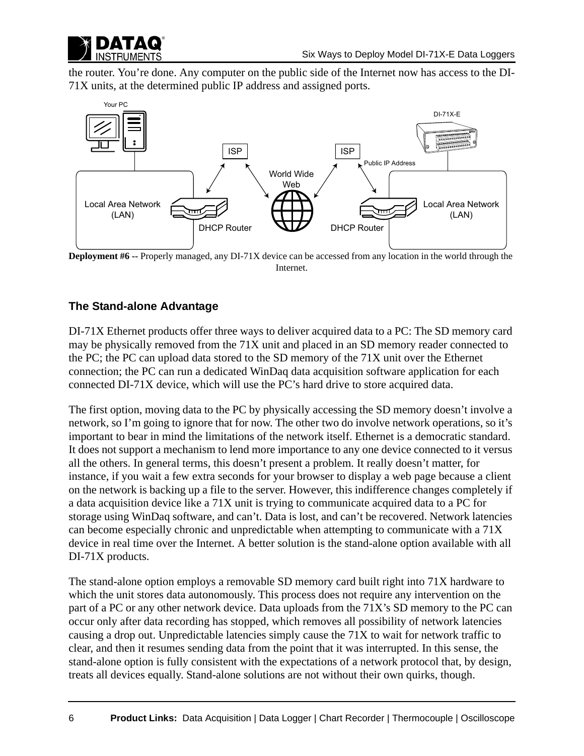

[the router. You're done. Any computer on the public side of the Internet now has access to the DI-](http://www.whatismyipaddress.com/)71X units, at the determined public IP address and assigned ports.



**Deployment #6 --** Properly managed, any DI-71X device can be accessed from any location in the world through the Internet.

# **The Stand-alone Advantage**

DI-71X Ethernet products offer three ways to deliver acquired data to a PC: The SD memory card may be physically removed from the 71X unit and placed in an SD memory reader connected to the PC; the PC can upload data stored to the SD memory of the 71X unit over the Ethernet connection; the PC can run a dedicated WinDaq data acquisition software application for each connected DI-71X device, which will use the PC's hard drive to store acquired data.

The first option, moving data to the PC by physically accessing the SD memory doesn't involve a network, so I'm going to ignore that for now. The other two do involve network operations, so it's important to bear in mind the limitations of the network itself. Ethernet is a democratic standard. It does not support a mechanism to lend more importance to any one device connected to it versus all the others. In general terms, this doesn't present a problem. It really doesn't matter, for instance, if you wait a few extra seconds for your browser to display a web page because a client on the network is backing up a file to the server. However, this indifference changes completely if a data acquisition device like a 71X unit is trying to communicate acquired data to a PC for storage using WinDaq software, and can't. Data is lost, and can't be recovered. Network latencies can become especially chronic and unpredictable when attempting to communicate with a 71X device in real time over the Internet. A better solution is the stand-alone option available with all DI-71X products.

The stand-alone option employs a removable SD memory card built right into 71X hardware to which the unit stores data autonomously. This process does not require any intervention on the part of a PC or any other network device. Data uploads from the 71X's SD memory to the PC can occur only after data recording has stopped, which removes all possibility of network latencies causing a drop out. Unpredictable latencies simply cause the 71X to wait for network traffic to clear, and then it resumes sending data from the point that it was interrupted. In this sense, the stand-alone option is fully consistent with the expectations of a network protocol that, by design, treats all devices equally. Stand-alone solutions are not without their own quirks, though.